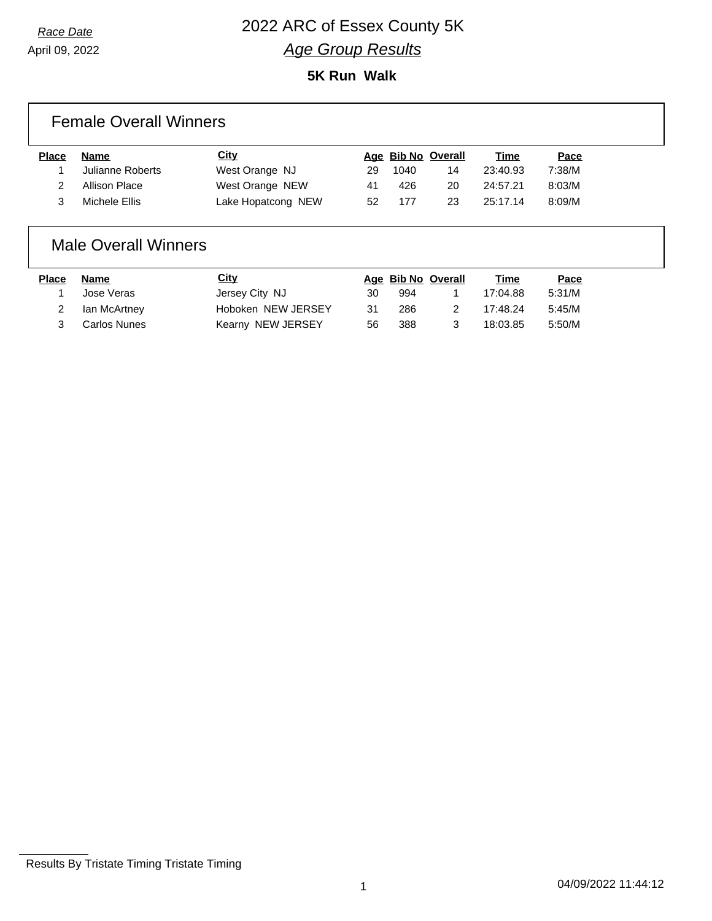### *Race Date* 2022 ARC of Essex County 5K *Age Group Results*

**5K Run Walk**

#### Female Overall Winners

| <b>Place</b> | <b>Name</b>      | <u>City</u>        |    | Age Bib No Overall |    | <u>Time</u> | <u>Pace</u> |
|--------------|------------------|--------------------|----|--------------------|----|-------------|-------------|
|              | Julianne Roberts | West Orange NJ     | 29 | 1040               | 14 | 23:40.93    | 7:38/M      |
|              | Allison Place    | West Orange NEW    | 41 | 426                | 20 | 24:57.21    | 8:03/M      |
|              | Michele Ellis    | Lake Hopatcong NEW | 52 | 177                | 23 | 25:17.14    | 8:09/M      |
|              |                  |                    |    |                    |    |             |             |

#### Male Overall Winners

| Place | Name         | <b>City</b>        |    | Age Bib No Overall |    | Time     | Pace   |
|-------|--------------|--------------------|----|--------------------|----|----------|--------|
|       | Jose Veras   | Jersey City NJ     | 30 | 994                |    | 17:04.88 | 5:31/M |
|       | lan McArtney | Hoboken NEW JERSEY | 31 | 286                | 2. | 17:48.24 | 5:45/M |
| 3     | Carlos Nunes | Kearny NEW JERSEY  | 56 | 388                | 3  | 18:03.85 | 5:50/M |

Results By Tristate Timing Tristate Timing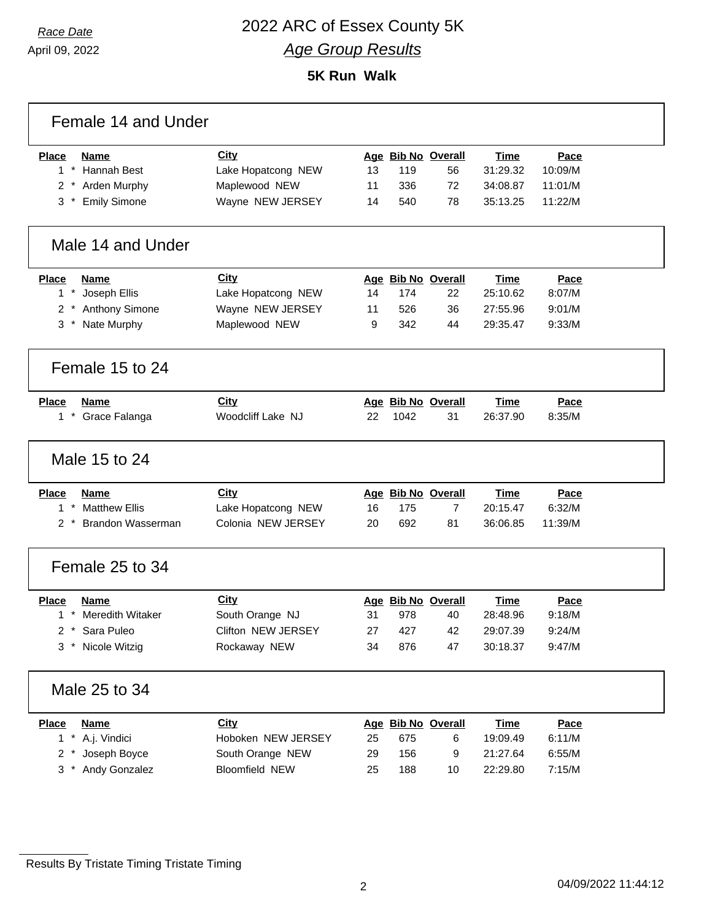### *Race Date* 2022 ARC of Essex County 5K *Age Group Results*

**5K Run Walk**

| Female 14 and Under             |                    |    |      |                    |             |         |  |  |  |
|---------------------------------|--------------------|----|------|--------------------|-------------|---------|--|--|--|
| <b>Place</b><br><b>Name</b>     | City               |    |      | Age Bib No Overall | <b>Time</b> | Pace    |  |  |  |
| $1 *$<br>Hannah Best            | Lake Hopatcong NEW | 13 | 119  | 56                 | 31:29.32    | 10:09/M |  |  |  |
| * Arden Murphy<br>2             | Maplewood NEW      | 11 | 336  | 72                 | 34:08.87    | 11:01/M |  |  |  |
| $3*$<br><b>Emily Simone</b>     | Wayne NEW JERSEY   | 14 | 540  | 78                 | 35:13.25    | 11:22/M |  |  |  |
| Male 14 and Under               |                    |    |      |                    |             |         |  |  |  |
| <b>Place</b><br><b>Name</b>     | City               |    |      | Age Bib No Overall | <b>Time</b> | Pace    |  |  |  |
| $1 *$<br>Joseph Ellis           | Lake Hopatcong NEW | 14 | 174  | 22                 | 25:10.62    | 8:07/M  |  |  |  |
| Anthony Simone<br>2             | Wayne NEW JERSEY   | 11 | 526  | 36                 | 27:55.96    | 9:01/M  |  |  |  |
| Nate Murphy<br>3                | Maplewood NEW      | 9  | 342  | 44                 | 29:35.47    | 9:33/M  |  |  |  |
| Female 15 to 24                 |                    |    |      |                    |             |         |  |  |  |
| <b>Place</b><br><b>Name</b>     | City               |    |      | Age Bib No Overall | <b>Time</b> | Pace    |  |  |  |
| 1 * Grace Falanga               | Woodcliff Lake NJ  | 22 | 1042 | 31                 | 26:37.90    | 8:35/M  |  |  |  |
| Male 15 to 24                   |                    |    |      |                    |             |         |  |  |  |
| <b>Place</b><br><b>Name</b>     | <b>City</b>        |    |      | Age Bib No Overall | <b>Time</b> | Pace    |  |  |  |
| $1 *$<br><b>Matthew Ellis</b>   | Lake Hopatcong NEW | 16 | 175  | $\overline{7}$     | 20:15.47    | 6:32/M  |  |  |  |
| <b>Brandon Wasserman</b><br>2 * | Colonia NEW JERSEY | 20 | 692  | 81                 | 36:06.85    | 11:39/M |  |  |  |
| Female 25 to 34                 |                    |    |      |                    |             |         |  |  |  |
| Place<br><b>Name</b>            | <b>City</b>        |    |      | Age Bib No Overall | <b>Time</b> | Pace    |  |  |  |
| Meredith Witaker<br>1.          | South Orange NJ    | 31 | 978  | 40                 | 28:48.96    | 9:18/M  |  |  |  |
| Sara Puleo<br>2                 | Clifton NEW JERSEY | 27 | 427  | 42                 | 29:07.39    | 9:24/M  |  |  |  |
| $3*$<br>Nicole Witzig           | Rockaway NEW       | 34 | 876  | 47                 | 30:18.37    | 9:47/M  |  |  |  |
| Male 25 to 34                   |                    |    |      |                    |             |         |  |  |  |
| <b>Place</b><br><b>Name</b>     | <b>City</b>        |    |      | Age Bib No Overall | <b>Time</b> | Pace    |  |  |  |
| $1 *$<br>A.j. Vindici           | Hoboken NEW JERSEY | 25 | 675  | 6                  | 19:09.49    | 6:11/M  |  |  |  |
| Joseph Boyce<br>$\overline{2}$  | South Orange NEW   | 29 | 156  | 9                  | 21:27.64    | 6:55/M  |  |  |  |
| Andy Gonzalez<br>3              | Bloomfield NEW     | 25 | 188  | 10                 | 22:29.80    | 7:15/M  |  |  |  |

Results By Tristate Timing Tristate Timing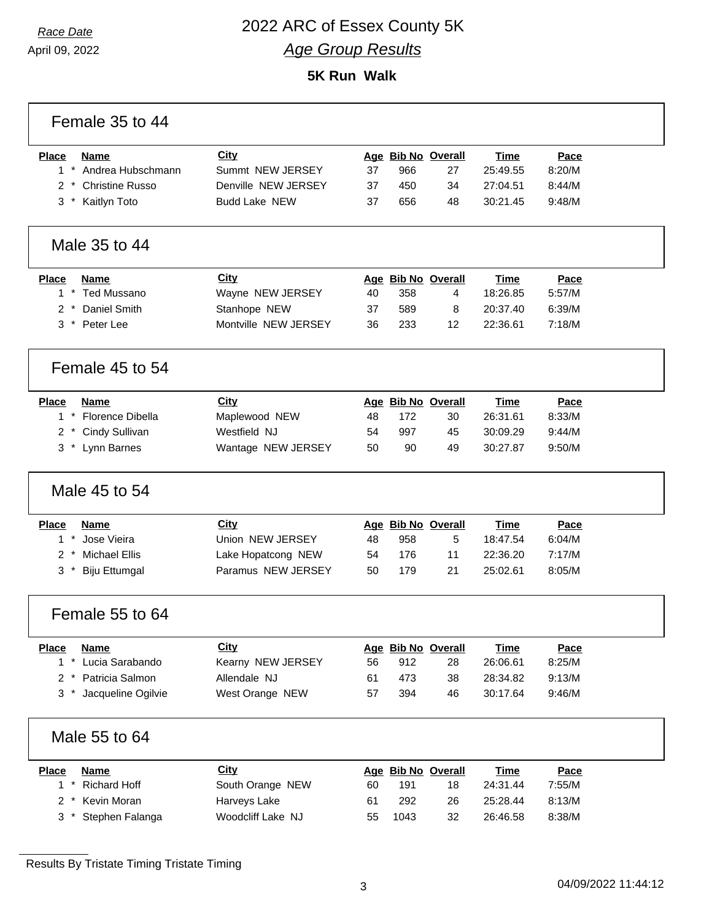### *Race Date* 2022 ARC of Essex County 5K *Age Group Results*

**5K Run Walk**

| Female 35 to 44                      |                      |    |      |                    |             |        |  |
|--------------------------------------|----------------------|----|------|--------------------|-------------|--------|--|
| <b>Name</b><br><b>Place</b>          | City                 |    |      | Age Bib No Overall | <b>Time</b> | Pace   |  |
| 1 * Andrea Hubschmann                | Summt NEW JERSEY     | 37 | 966  | 27                 | 25:49.55    | 8:20/M |  |
| 2 * Christine Russo                  | Denville NEW JERSEY  | 37 | 450  | 34                 | 27:04.51    | 8:44/M |  |
| 3 * Kaitlyn Toto                     | <b>Budd Lake NEW</b> | 37 | 656  | 48                 | 30:21.45    | 9:48/M |  |
| Male 35 to 44                        |                      |    |      |                    |             |        |  |
| <b>Place</b><br><b>Name</b>          | City                 |    |      | Age Bib No Overall | <b>Time</b> | Pace   |  |
| 1 * Ted Mussano                      | Wayne NEW JERSEY     | 40 | 358  | 4                  | 18:26.85    | 5:57/M |  |
| Daniel Smith<br>$\mathbf{2}$         | Stanhope NEW         | 37 | 589  | 8                  | 20:37.40    | 6:39/M |  |
| 3 * Peter Lee                        | Montville NEW JERSEY | 36 | 233  | 12                 | 22:36.61    | 7:18/M |  |
| Female 45 to 54                      |                      |    |      |                    |             |        |  |
| <b>Place</b><br><b>Name</b>          | <b>City</b>          |    |      | Age Bib No Overall | <b>Time</b> | Pace   |  |
| 1 * Florence Dibella                 | Maplewood NEW        | 48 | 172  | 30                 | 26:31.61    | 8:33/M |  |
| Cindy Sullivan<br>$2^*$              | Westfield NJ         | 54 | 997  | 45                 | 30:09.29    | 9:44/M |  |
| Lynn Barnes<br>3 *                   | Wantage NEW JERSEY   | 50 | 90   | 49                 | 30:27.87    | 9:50/M |  |
| Male 45 to 54                        |                      |    |      |                    |             |        |  |
| <b>Place</b><br><b>Name</b>          | City                 |    |      | Age Bib No Overall | <b>Time</b> | Pace   |  |
| $1 *$<br>Jose Vieira                 | Union NEW JERSEY     | 48 | 958  | 5                  | 18:47.54    | 6:04/M |  |
| <b>Michael Ellis</b><br>$2^*$        | Lake Hopatcong NEW   | 54 | 176  | 11                 | 22:36.20    | 7:17/M |  |
| $3^*$<br><b>Biju Ettumgal</b>        | Paramus NEW JERSEY   | 50 | 179  | 21                 | 25:02.61    | 8:05/M |  |
| Female 55 to 64                      |                      |    |      |                    |             |        |  |
| <b>Place</b><br><b>Name</b>          | <b>City</b>          |    |      | Age Bib No Overall | <b>Time</b> | Pace   |  |
| $1 *$<br>Lucia Sarabando             | Kearny NEW JERSEY    | 56 | 912  | 28                 | 26:06.61    | 8:25/M |  |
| * Patricia Salmon<br>$\mathbf{2}$    | Allendale NJ         | 61 | 473  | 38                 | 28:34.82    | 9:13/M |  |
| Jacqueline Ogilvie<br>$3 *$          | West Orange NEW      | 57 | 394  | 46                 | 30:17.64    | 9:46/M |  |
| Male 55 to 64                        |                      |    |      |                    |             |        |  |
| <b>Name</b><br><b>Place</b>          | <b>City</b>          |    |      | Age Bib No Overall | <b>Time</b> | Pace   |  |
| <b>Richard Hoff</b><br>$^\star$<br>1 | South Orange NEW     | 60 | 191  | 18                 | 24:31.44    | 7:55/M |  |
| Kevin Moran<br>$\overline{2}$        | Harveys Lake         | 61 | 292  | 26                 | 25:28.44    | 8:13/M |  |
| Stephen Falanga<br>$3*$              | Woodcliff Lake NJ    | 55 | 1043 | 32                 | 26:46.58    | 8:38/M |  |

Results By Tristate Timing Tristate Timing